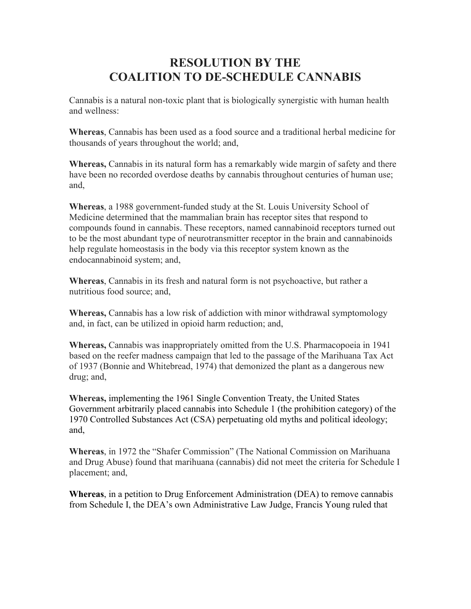## **RESOLUTION BY THE COALITION TO DE-SCHEDULE CANNABIS**

Cannabis is a natural non-toxic plant that is biologically synergistic with human health and wellness:

**Whereas**, Cannabis has been used as a food source and a traditional herbal medicine for thousands of years throughout the world; and,

**Whereas,** Cannabis in its natural form has a remarkably wide margin of safety and there have been no recorded overdose deaths by cannabis throughout centuries of human use; and,

**Whereas**, a 1988 government-funded study at the St. Louis University School of Medicine determined that the mammalian brain has receptor sites that respond to compounds found in cannabis. These receptors, named cannabinoid receptors turned out to be the most abundant type of neurotransmitter receptor in the brain and cannabinoids help regulate homeostasis in the body via this receptor system known as the endocannabinoid system; and,

**Whereas**, Cannabis in its fresh and natural form is not psychoactive, but rather a nutritious food source; and,

**Whereas,** Cannabis has a low risk of addiction with minor withdrawal symptomology and, in fact, can be utilized in opioid harm reduction; and,

**Whereas,** Cannabis was inappropriately omitted from the U.S. Pharmacopoeia in 1941 based on the reefer madness campaign that led to the passage of the Marihuana Tax Act of 1937 (Bonnie and Whitebread, 1974) that demonized the plant as a dangerous new drug; and,

**Whereas,** implementing the 1961 Single Convention Treaty, the United States Government arbitrarily placed cannabis into Schedule 1 (the prohibition category) of the 1970 Controlled Substances Act (CSA) perpetuating old myths and political ideology; and,

**Whereas**, in 1972 the "Shafer Commission" (The National Commission on Marihuana and Drug Abuse) found that marihuana (cannabis) did not meet the criteria for Schedule I placement; and,

**Whereas**, in a petition to Drug Enforcement Administration (DEA) to remove cannabis from Schedule I, the DEA's own Administrative Law Judge, Francis Young ruled that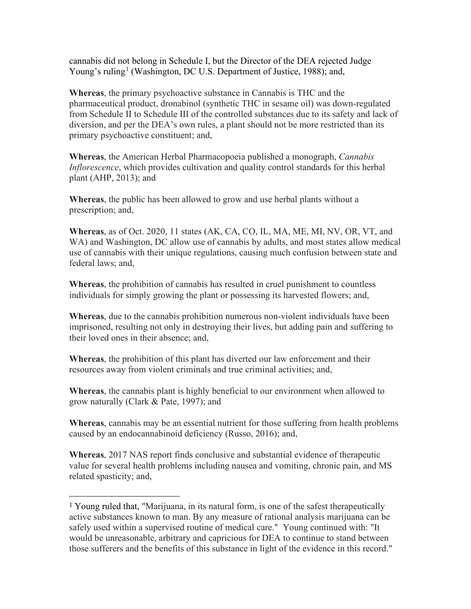cannabis did not belong in Schedule I, but the Director of the DEA rejected Judge Young's ruling<sup>[1](#page-1-0)</sup> (Washington, DC U.S. Department of Justice, 1988); and,

**Whereas**, the primary psychoactive substance in Cannabis is THC and the pharmaceutical product, dronabinol (synthetic THC in sesame oil) was down-regulated from Schedule II to Schedule III of the controlled substances due to its safety and lack of diversion, and per the DEA's own rules, a plant should not be more restricted than its primary psychoactive constituent; and,

**Whereas**, the American Herbal Pharmacopoeia published a monograph, *Cannabis Inflorescence*, which provides cultivation and quality control standards for this herbal plant (AHP, 2013); and

**Whereas**, the public has been allowed to grow and use herbal plants without a prescription; and,

**Whereas**, as of Oct. 2020, 11 states (AK, CA, CO, IL, MA, ME, MI, NV, OR, VT, and WA) and Washington, DC allow use of cannabis by adults, and most states allow medical use of cannabis with their unique regulations, causing much confusion between state and federal laws; and,

**Whereas**, the prohibition of cannabis has resulted in cruel punishment to countless individuals for simply growing the plant or possessing its harvested flowers; and,

**Whereas**, due to the cannabis prohibition numerous non-violent individuals have been imprisoned, resulting not only in destroying their lives, but adding pain and suffering to their loved ones in their absence; and,

**Whereas**, the prohibition of this plant has diverted our law enforcement and their resources away from violent criminals and true criminal activities; and,

**Whereas**, the cannabis plant is highly beneficial to our environment when allowed to grow naturally (Clark & Pate, 1997); and

**Whereas**, cannabis may be an essential nutrient for those suffering from health problems caused by an endocannabinoid deficiency (Russo, 2016); and,

**Whereas**, 2017 NAS report finds conclusive and substantial evidence of therapeutic value for several health problems including nausea and vomiting, chronic pain, and MS related spasticity; and,

<span id="page-1-0"></span><sup>1</sup> Young ruled that, "Marijuana, in its natural form, is one of the safest therapeutically active substances known to man. By any measure of rational analysis marijuana can be safely used within a supervised routine of medical care." Young continued with: "It would be unreasonable, arbitrary and capricious for DEA to continue to stand between those sufferers and the benefits of this substance in light of the evidence in this record."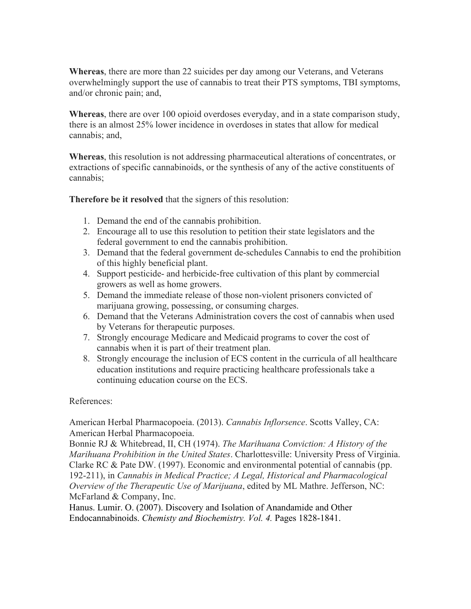**Whereas**, there are more than 22 suicides per day among our Veterans, and Veterans overwhelmingly support the use of cannabis to treat their PTS symptoms, TBI symptoms, and/or chronic pain; and,

**Whereas**, there are over 100 opioid overdoses everyday, and in a state comparison study, there is an almost 25% lower incidence in overdoses in states that allow for medical cannabis; and,

**Whereas**, this resolution is not addressing pharmaceutical alterations of concentrates, or extractions of specific cannabinoids, or the synthesis of any of the active constituents of cannabis;

**Therefore be it resolved** that the signers of this resolution:

- 1. Demand the end of the cannabis prohibition.
- 2. Encourage all to use this resolution to petition their state legislators and the federal government to end the cannabis prohibition.
- 3. Demand that the federal government de-schedules Cannabis to end the prohibition of this highly beneficial plant.
- 4. Support pesticide- and herbicide-free cultivation of this plant by commercial growers as well as home growers.
- 5. Demand the immediate release of those non-violent prisoners convicted of marijuana growing, possessing, or consuming charges.
- 6. Demand that the Veterans Administration covers the cost of cannabis when used by Veterans for therapeutic purposes.
- 7. Strongly encourage Medicare and Medicaid programs to cover the cost of cannabis when it is part of their treatment plan.
- 8. Strongly encourage the inclusion of ECS content in the curricula of all healthcare education institutions and require practicing healthcare professionals take a continuing education course on the ECS.

References:

American Herbal Pharmacopoeia. (2013). *Cannabis Inflorsence*. Scotts Valley, CA: American Herbal Pharmacopoeia.

Bonnie RJ & Whitebread, II, CH (1974). *The Marihuana Conviction: A History of the Marihuana Prohibition in the United States*. Charlottesville: University Press of Virginia. Clarke RC & Pate DW. (1997). Economic and environmental potential of cannabis (pp. 192-211), in *Cannabis in Medical Practice; A Legal, Historical and Pharmacological Overview of the Therapeutic Use of Marijuana*, edited by ML Mathre. Jefferson, NC: McFarland & Company, Inc.

Hanus. Lumir. O. (2007). Discovery and Isolation of Anandamide and Other Endocannabinoids. *Chemisty and Biochemistry. Vol. 4.* Pages 1828-1841.